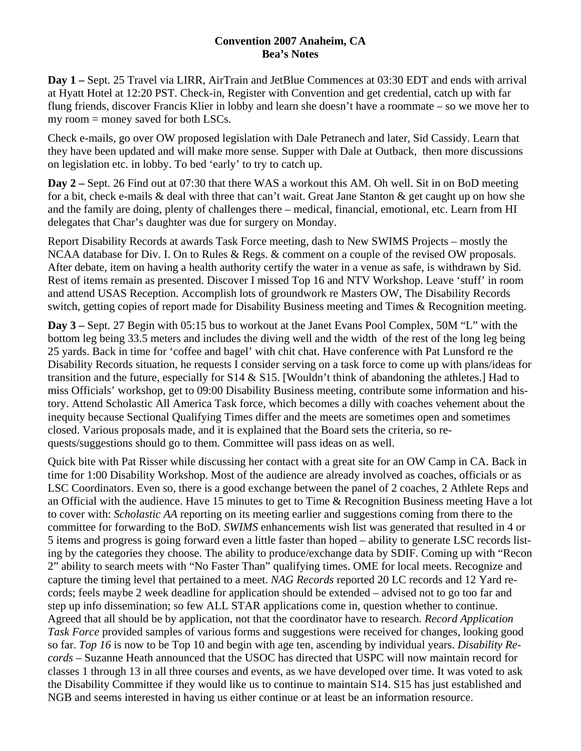## **Convention 2007 Anaheim, CA Bea's Notes**

**Day 1 –** Sept. 25 Travel via LIRR, AirTrain and JetBlue Commences at 03:30 EDT and ends with arrival at Hyatt Hotel at 12:20 PST. Check-in, Register with Convention and get credential, catch up with far flung friends, discover Francis Klier in lobby and learn she doesn't have a roommate – so we move her to my room = money saved for both LSCs.

Check e-mails, go over OW proposed legislation with Dale Petranech and later, Sid Cassidy. Learn that they have been updated and will make more sense. Supper with Dale at Outback, then more discussions on legislation etc. in lobby. To bed 'early' to try to catch up.

**Day 2 –** Sept. 26 Find out at 07:30 that there WAS a workout this AM. Oh well. Sit in on BoD meeting for a bit, check e-mails & deal with three that can't wait. Great Jane Stanton & get caught up on how she and the family are doing, plenty of challenges there – medical, financial, emotional, etc. Learn from HI delegates that Char's daughter was due for surgery on Monday.

Report Disability Records at awards Task Force meeting, dash to New SWIMS Projects – mostly the NCAA database for Div. I. On to Rules & Regs. & comment on a couple of the revised OW proposals. After debate, item on having a health authority certify the water in a venue as safe, is withdrawn by Sid. Rest of items remain as presented. Discover I missed Top 16 and NTV Workshop. Leave 'stuff' in room and attend USAS Reception. Accomplish lots of groundwork re Masters OW, The Disability Records switch, getting copies of report made for Disability Business meeting and Times & Recognition meeting.

**Day 3 –** Sept. 27 Begin with 05:15 bus to workout at the Janet Evans Pool Complex, 50M "L" with the bottom leg being 33.5 meters and includes the diving well and the width of the rest of the long leg being 25 yards. Back in time for 'coffee and bagel' with chit chat. Have conference with Pat Lunsford re the Disability Records situation, he requests I consider serving on a task force to come up with plans/ideas for transition and the future, especially for S14 & S15. [Wouldn't think of abandoning the athletes.] Had to miss Officials' workshop, get to 09:00 Disability Business meeting, contribute some information and history. Attend Scholastic All America Task force, which becomes a dilly with coaches vehement about the inequity because Sectional Qualifying Times differ and the meets are sometimes open and sometimes closed. Various proposals made, and it is explained that the Board sets the criteria, so requests/suggestions should go to them. Committee will pass ideas on as well.

Quick bite with Pat Risser while discussing her contact with a great site for an OW Camp in CA. Back in time for 1:00 Disability Workshop. Most of the audience are already involved as coaches, officials or as LSC Coordinators. Even so, there is a good exchange between the panel of 2 coaches, 2 Athlete Reps and an Official with the audience. Have 15 minutes to get to Time & Recognition Business meeting Have a lot to cover with: *Scholastic AA* reporting on its meeting earlier and suggestions coming from there to the committee for forwarding to the BoD. *SWIMS* enhancements wish list was generated that resulted in 4 or 5 items and progress is going forward even a little faster than hoped – ability to generate LSC records listing by the categories they choose. The ability to produce/exchange data by SDIF. Coming up with "Recon 2" ability to search meets with "No Faster Than" qualifying times. OME for local meets. Recognize and capture the timing level that pertained to a meet. *NAG Records* reported 20 LC records and 12 Yard records; feels maybe 2 week deadline for application should be extended – advised not to go too far and step up info dissemination; so few ALL STAR applications come in, question whether to continue. Agreed that all should be by application, not that the coordinator have to research. *Record Application Task Force* provided samples of various forms and suggestions were received for changes, looking good so far. *Top 16* is now to be Top 10 and begin with age ten, ascending by individual years. *Disability Records* – Suzanne Heath announced that the USOC has directed that USPC will now maintain record for classes 1 through 13 in all three courses and events, as we have developed over time. It was voted to ask the Disability Committee if they would like us to continue to maintain S14. S15 has just established and NGB and seems interested in having us either continue or at least be an information resource.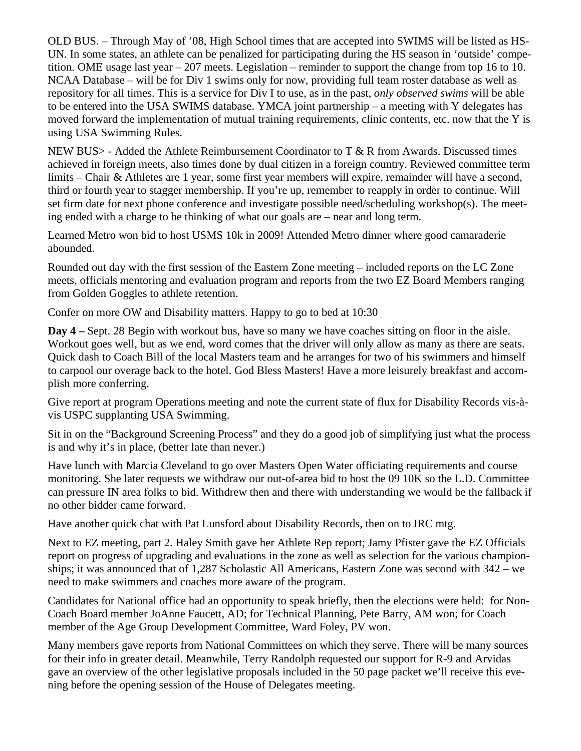OLD BUS. – Through May of '08, High School times that are accepted into SWIMS will be listed as HS-UN. In some states, an athlete can be penalized for participating during the HS season in 'outside' competition. OME usage last year – 207 meets. Legislation – reminder to support the change from top 16 to 10. NCAA Database – will be for Div 1 swims only for now, providing full team roster database as well as repository for all times. This is a service for Div I to use, as in the past, *only observed swims* will be able to be entered into the USA SWIMS database. YMCA joint partnership – a meeting with Y delegates has moved forward the implementation of mutual training requirements, clinic contents, etc. now that the Y is using USA Swimming Rules.

NEW BUS> - Added the Athlete Reimbursement Coordinator to T & R from Awards. Discussed times achieved in foreign meets, also times done by dual citizen in a foreign country. Reviewed committee term limits – Chair & Athletes are 1 year, some first year members will expire, remainder will have a second, third or fourth year to stagger membership. If you're up, remember to reapply in order to continue. Will set firm date for next phone conference and investigate possible need/scheduling workshop(s). The meeting ended with a charge to be thinking of what our goals are – near and long term.

Learned Metro won bid to host USMS 10k in 2009! Attended Metro dinner where good camaraderie abounded.

Rounded out day with the first session of the Eastern Zone meeting – included reports on the LC Zone meets, officials mentoring and evaluation program and reports from the two EZ Board Members ranging from Golden Goggles to athlete retention.

Confer on more OW and Disability matters. Happy to go to bed at 10:30

**Day 4 –** Sept. 28 Begin with workout bus, have so many we have coaches sitting on floor in the aisle. Workout goes well, but as we end, word comes that the driver will only allow as many as there are seats. Quick dash to Coach Bill of the local Masters team and he arranges for two of his swimmers and himself to carpool our overage back to the hotel. God Bless Masters! Have a more leisurely breakfast and accomplish more conferring.

Give report at program Operations meeting and note the current state of flux for Disability Records vis-àvis USPC supplanting USA Swimming.

Sit in on the "Background Screening Process" and they do a good job of simplifying just what the process is and why it's in place, (better late than never.)

Have lunch with Marcia Cleveland to go over Masters Open Water officiating requirements and course monitoring. She later requests we withdraw our out-of-area bid to host the 09 10K so the L.D. Committee can pressure IN area folks to bid. Withdrew then and there with understanding we would be the fallback if no other bidder came forward.

Have another quick chat with Pat Lunsford about Disability Records, then on to IRC mtg.

Next to EZ meeting, part 2. Haley Smith gave her Athlete Rep report; Jamy Pfister gave the EZ Officials report on progress of upgrading and evaluations in the zone as well as selection for the various championships; it was announced that of 1,287 Scholastic All Americans, Eastern Zone was second with 342 – we need to make swimmers and coaches more aware of the program.

Candidates for National office had an opportunity to speak briefly, then the elections were held: for Non-Coach Board member JoAnne Faucett, AD; for Technical Planning, Pete Barry, AM won; for Coach member of the Age Group Development Committee, Ward Foley, PV won.

Many members gave reports from National Committees on which they serve. There will be many sources for their info in greater detail. Meanwhile, Terry Randolph requested our support for R-9 and Arvidas gave an overview of the other legislative proposals included in the 50 page packet we'll receive this evening before the opening session of the House of Delegates meeting.